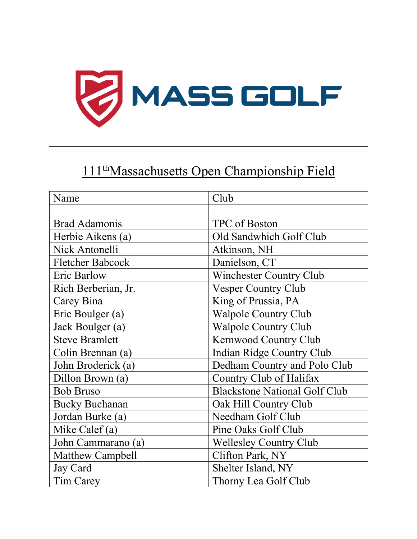

## 111<sup>th</sup>Massachusetts Open Championship Field

| Name                    | Club                                 |
|-------------------------|--------------------------------------|
|                         |                                      |
| <b>Brad Adamonis</b>    | TPC of Boston                        |
| Herbie Aikens (a)       | Old Sandwhich Golf Club              |
| Nick Antonelli          | Atkinson, NH                         |
| <b>Fletcher Babcock</b> | Danielson, CT                        |
| Eric Barlow             | <b>Winchester Country Club</b>       |
| Rich Berberian, Jr.     | <b>Vesper Country Club</b>           |
| Carey Bina              | King of Prussia, PA                  |
| Eric Boulger (a)        | <b>Walpole Country Club</b>          |
| Jack Boulger (a)        | <b>Walpole Country Club</b>          |
| <b>Steve Bramlett</b>   | Kernwood Country Club                |
| Colin Brennan (a)       | <b>Indian Ridge Country Club</b>     |
| John Broderick (a)      | Dedham Country and Polo Club         |
| Dillon Brown (a)        | Country Club of Halifax              |
| <b>Bob Bruso</b>        | <b>Blackstone National Golf Club</b> |
| <b>Bucky Buchanan</b>   | Oak Hill Country Club                |
| Jordan Burke (a)        | Needham Golf Club                    |
| Mike Calef (a)          | Pine Oaks Golf Club                  |
| John Cammarano (a)      | <b>Wellesley Country Club</b>        |
| <b>Matthew Campbell</b> | Clifton Park, NY                     |
| Jay Card                | Shelter Island, NY                   |
| Tim Carey               | Thorny Lea Golf Club                 |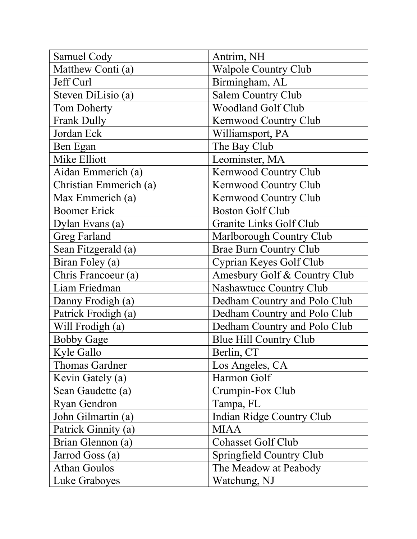| Samuel Cody            | Antrim, NH                    |
|------------------------|-------------------------------|
| Matthew Conti (a)      | <b>Walpole Country Club</b>   |
| Jeff Curl              | Birmingham, AL                |
| Steven DiLisio (a)     | <b>Salem Country Club</b>     |
| <b>Tom Doherty</b>     | <b>Woodland Golf Club</b>     |
| <b>Frank Dully</b>     | Kernwood Country Club         |
| Jordan Eck             | Williamsport, PA              |
| Ben Egan               | The Bay Club                  |
| Mike Elliott           | Leominster, MA                |
| Aidan Emmerich (a)     | Kernwood Country Club         |
| Christian Emmerich (a) | Kernwood Country Club         |
| Max Emmerich (a)       | Kernwood Country Club         |
| <b>Boomer Erick</b>    | <b>Boston Golf Club</b>       |
| Dylan Evans (a)        | Granite Links Golf Club       |
| <b>Greg Farland</b>    | Marlborough Country Club      |
| Sean Fitzgerald (a)    | <b>Brae Burn Country Club</b> |
| Biran Foley (a)        | Cyprian Keyes Golf Club       |
| Chris Francoeur (a)    | Amesbury Golf & Country Club  |
| Liam Friedman          | Nashawtucc Country Club       |
| Danny Frodigh (a)      | Dedham Country and Polo Club  |
| Patrick Frodigh (a)    | Dedham Country and Polo Club  |
| Will Frodigh (a)       | Dedham Country and Polo Club  |
| <b>Bobby Gage</b>      | Blue Hill Country Club        |
| Kyle Gallo             | Berlin, CT                    |
| <b>Thomas Gardner</b>  | Los Angeles, CA               |
| Kevin Gately (a)       | Harmon Golf                   |
| Sean Gaudette (a)      | Crumpin-Fox Club              |
| <b>Ryan Gendron</b>    | Tampa, FL                     |
| John Gilmartin (a)     | Indian Ridge Country Club     |
| Patrick Ginnity (a)    | <b>MIAA</b>                   |
| Brian Glennon (a)      | <b>Cohasset Golf Club</b>     |
| Jarrod Goss (a)        | Springfield Country Club      |
| <b>Athan Goulos</b>    | The Meadow at Peabody         |
| Luke Graboyes          | Watchung, NJ                  |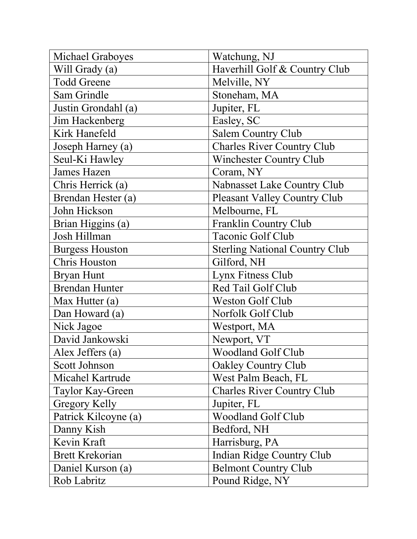| Michael Graboyes       | Watchung, NJ                          |
|------------------------|---------------------------------------|
| Will Grady (a)         | Haverhill Golf & Country Club         |
| <b>Todd Greene</b>     | Melville, NY                          |
| Sam Grindle            | Stoneham, MA                          |
| Justin Grondahl (a)    | Jupiter, FL                           |
| Jim Hackenberg         | Easley, SC                            |
| Kirk Hanefeld          | <b>Salem Country Club</b>             |
| Joseph Harney (a)      | <b>Charles River Country Club</b>     |
| Seul-Ki Hawley         | Winchester Country Club               |
| <b>James Hazen</b>     | Coram, NY                             |
| Chris Herrick (a)      | Nabnasset Lake Country Club           |
| Brendan Hester (a)     | <b>Pleasant Valley Country Club</b>   |
| John Hickson           | Melbourne, FL                         |
| Brian Higgins (a)      | <b>Franklin Country Club</b>          |
| Josh Hillman           | Taconic Golf Club                     |
| <b>Burgess Houston</b> | <b>Sterling National Country Club</b> |
| <b>Chris Houston</b>   | Gilford, NH                           |
| <b>Bryan Hunt</b>      | Lynx Fitness Club                     |
| <b>Brendan Hunter</b>  | Red Tail Golf Club                    |
| Max Hutter $(a)$       | <b>Weston Golf Club</b>               |
| Dan Howard (a)         | Norfolk Golf Club                     |
| Nick Jagoe             | Westport, MA                          |
| David Jankowski        | Newport, VT                           |
| Alex Jeffers (a)       | Woodland Golf Club                    |
| Scott Johnson          | <b>Oakley Country Club</b>            |
| Micahel Kartrude       | West Palm Beach, FL                   |
| Taylor Kay-Green       | <b>Charles River Country Club</b>     |
| Gregory Kelly          | Jupiter, FL                           |
| Patrick Kilcoyne (a)   | Woodland Golf Club                    |
| Danny Kish             | Bedford, NH                           |
| Kevin Kraft            | Harrisburg, PA                        |
| <b>Brett Krekorian</b> | Indian Ridge Country Club             |
| Daniel Kurson (a)      | <b>Belmont Country Club</b>           |
| Rob Labritz            | Pound Ridge, NY                       |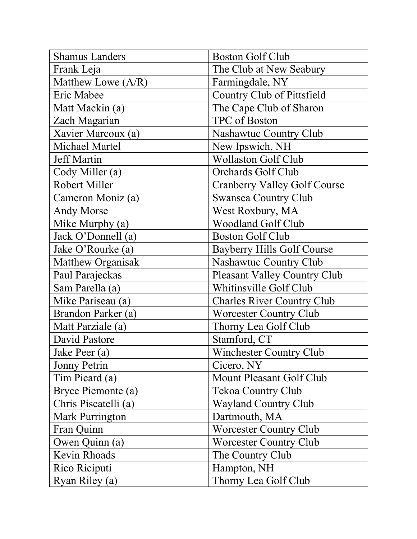| <b>Shamus Landers</b>  | <b>Boston Golf Club</b>             |
|------------------------|-------------------------------------|
| Frank Leja             | The Club at New Seabury             |
| Matthew Lowe (A/R)     | Farmingdale, NY                     |
| Eric Mabee             | Country Club of Pittsfield          |
| Matt Mackin (a)        | The Cape Club of Sharon             |
| Zach Magarian          | TPC of Boston                       |
| Xavier Marcoux (a)     | Nashawtuc Country Club              |
| <b>Michael Martel</b>  | New Ipswich, NH                     |
| <b>Jeff Martin</b>     | <b>Wollaston Golf Club</b>          |
| Cody Miller (a)        | Orchards Golf Club                  |
| Robert Miller          | <b>Cranberry Valley Golf Course</b> |
| Cameron Moniz (a)      | <b>Swansea Country Club</b>         |
| <b>Andy Morse</b>      | West Roxbury, MA                    |
| Mike Murphy (a)        | <b>Woodland Golf Club</b>           |
| Jack O'Donnell (a)     | <b>Boston Golf Club</b>             |
| Jake O'Rourke (a)      | <b>Bayberry Hills Golf Course</b>   |
| Matthew Organisak      | Nashawtuc Country Club              |
| Paul Parajeckas        | Pleasant Valley Country Club        |
| Sam Parella (a)        | Whitinsville Golf Club              |
| Mike Pariseau (a)      | <b>Charles River Country Club</b>   |
| Brandon Parker (a)     | <b>Worcester Country Club</b>       |
| Matt Parziale (a)      | Thorny Lea Golf Club                |
| David Pastore          | Stamford, CT                        |
| Jake Peer (a)          | Winchester Country Club             |
| Jonny Petrin           | Cicero, NY                          |
| Tim Picard (a)         | Mount Pleasant Golf Club            |
| Bryce Piemonte (a)     | <b>Tekoa Country Club</b>           |
| Chris Piscatelli (a)   | <b>Wayland Country Club</b>         |
| <b>Mark Purrington</b> | Dartmouth, MA                       |
| Fran Quinn             | <b>Worcester Country Club</b>       |
| Owen Quinn (a)         | <b>Worcester Country Club</b>       |
| Kevin Rhoads           | The Country Club                    |
| Rico Riciputi          | Hampton, NH                         |
| Ryan Riley (a)         | Thorny Lea Golf Club                |